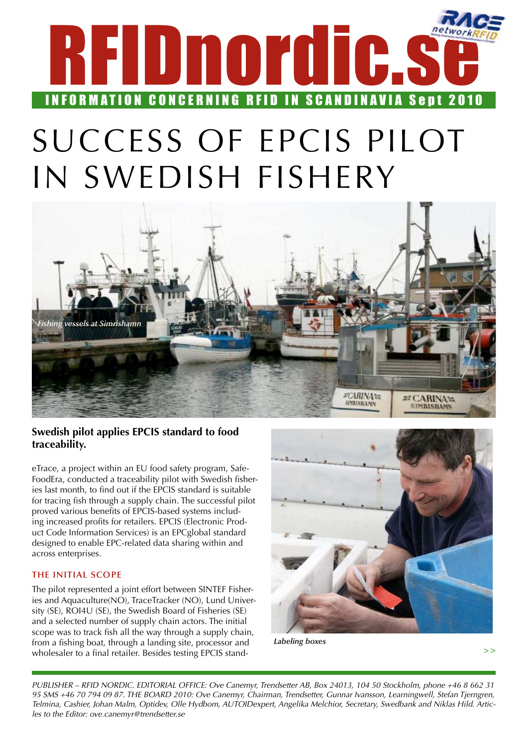

## SUCCESS OF EPCIS PILOT IN SWEDISH FISHERY



### **Swedish pilot applies EPCIS standard to food traceability.**

eTrace, a project within an EU food safety program, Safe-FoodEra, conducted a traceability pilot with Swedish fisheries last month, to find out if the EPCIS standard is suitable for tracing fish through a supply chain. The successful pilot proved various benefits of EPCIS-based systems including increased profits for retailers. EPCIS (Electronic Product Code Information Services) is an EPCglobal standard designed to enable EPC-related data sharing within and across enterprises.

### **The initial scope**

The pilot represented a joint effort between SINTEF Fisheries and Aquaculture(NO), TraceTracker (NO), Lund University (SE), ROI4U (SE), the Swedish Board of Fisheries (SE) and a selected number of supply chain actors. The initial scope was to track fish all the way through a supply chain, from a fishing boat, through a landing site, processor and wholesaler to a final retailer. Besides testing EPCIS stand-



*Labeling boxes*

**>>**

*PUBLISHER – RFID NORDIC. EDITORIAL OFFICE: Ove Canemyr, Trendsetter AB, Box 24013, 104 50 Stockholm, phone +46 8 662 31 95 SMS +46 70 794 09 87. THE BOARD 2010: Ove Canemyr, Chairman, Trendsetter, Gunnar Ivansson, Learningwell, Stefan Tjerngren, Telmina, Cashier, Johan Malm, Optidev, Olle Hydbom, AUTOIDexpert, Angelika Melchior, Secretary, Swedbank and Niklas Hild. Articles to the Editor: ove.canemyr@trendsetter.se*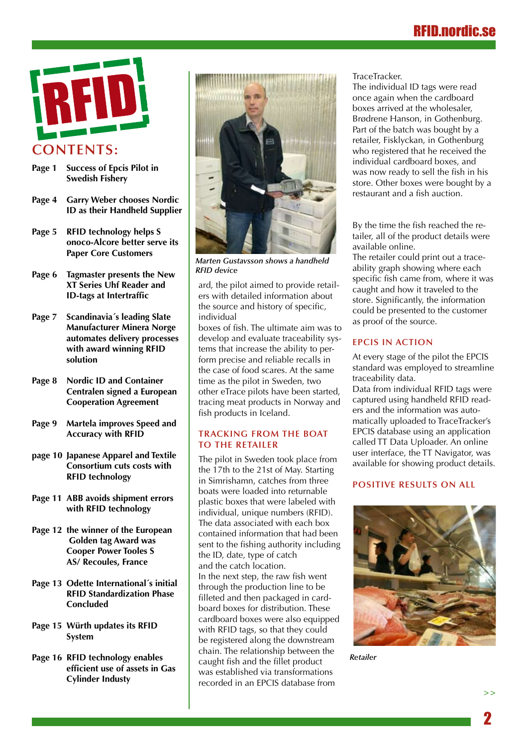## RFID.nordic.se



- **Page 1 Success of Epcis Pilot in Swedish Fishery**
- **Page 4 Garry Weber chooses Nordic ID as their Handheld Supplier**
- **Page 5 RFID technology helps S onoco-Alcore better serve its Paper Core Customers**
- **Page 6 Tagmaster presents the New XT Series Uhf Reader and ID-tags at Intertraffic**
- **Page 7 Scandinavia´s leading Slate Manufacturer Minera Norge automates delivery processes with award winning RFID solution**
- **Page 8 Nordic ID and Container Centralen signed a European Cooperation Agreement**
- **Page 9 Martela improves Speed and Accuracy with RFID**
- **page 10 Japanese Apparel and Textile Consortium cuts costs with RFID technology**
- **Page 11 ABB avoids shipment errors with RFID technology**
- **Page 12 the winner of the European Golden tag Award was Cooper Power Tooles S AS/ Recoules, France**
- **Page 13 Odette International´s initial RFID Standardization Phase Concluded**
- **Page 15 Würth updates its RFID System**
- **Page 16 RFID technology enables efficient use of assets in Gas Cylinder Industy**



*Marten Gustavsson shows a handheld RFID device*

ard, the pilot aimed to provide retailers with detailed information about the source and history of specific, individual

boxes of fish. The ultimate aim was to develop and evaluate traceability systems that increase the ability to perform precise and reliable recalls in the case of food scares. At the same time as the pilot in Sweden, two other eTrace pilots have been started, tracing meat products in Norway and fish products in Iceland.

#### **Tracking from the boat to the retailer**

The pilot in Sweden took place from the 17th to the 21st of May. Starting in Simrishamn, catches from three boats were loaded into returnable plastic boxes that were labeled with individual, unique numbers (RFID). The data associated with each box contained information that had been sent to the fishing authority including the ID, date, type of catch and the catch location. In the next step, the raw fish went through the production line to be filleted and then packaged in cardboard boxes for distribution. These cardboard boxes were also equipped with RFID tags, so that they could be registered along the downstream chain. The relationship between the caught fish and the fillet product was established via transformations recorded in an EPCIS database from

#### TraceTracker.

The individual ID tags were read once again when the cardboard boxes arrived at the wholesaler, Brødrene Hanson, in Gothenburg. Part of the batch was bought by a retailer, Fisklyckan, in Gothenburg who registered that he received the individual cardboard boxes, and was now ready to sell the fish in his store. Other boxes were bought by a restaurant and a fish auction.

By the time the fish reached the retailer, all of the product details were available online.

The retailer could print out a traceability graph showing where each specific fish came from, where it was caught and how it traveled to the store. Significantly, the information could be presented to the customer as proof of the source.

#### **EPCIS in action**

At every stage of the pilot the EPCIS standard was employed to streamline traceability data.

Data from individual RFID tags were captured using handheld RFID readers and the information was automatically uploaded to TraceTracker's EPCIS database using an application called TT Data Uploader. An online user interface, the TT Navigator, was available for showing product details.

#### **Positive results on all**



*Retailer*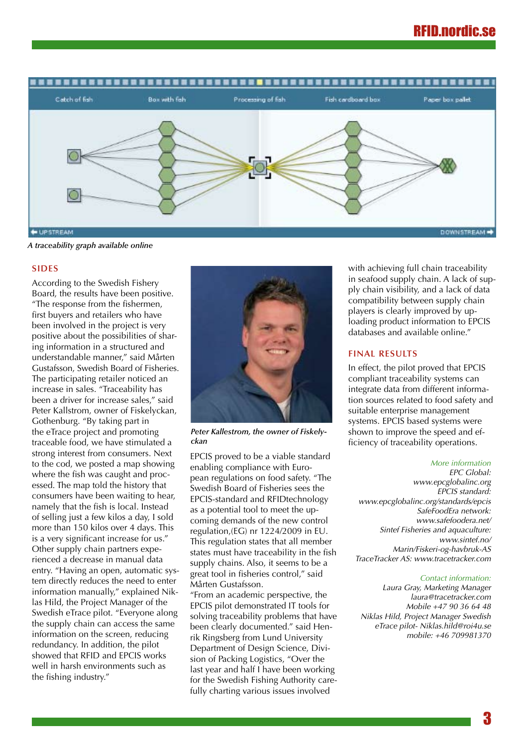

*A traceability graph available online*

#### **sides**

According to the Swedish Fishery Board, the results have been positive. "The response from the fishermen, first buyers and retailers who have been involved in the project is very positive about the possibilities of sharing information in a structured and understandable manner," said Mårten Gustafsson, Swedish Board of Fisheries. The participating retailer noticed an increase in sales. "Traceability has been a driver for increase sales," said Peter Kallstrom, owner of Fiskelyckan, Gothenburg. "By taking part in the eTrace project and promoting traceable food, we have stimulated a strong interest from consumers. Next to the cod, we posted a map showing where the fish was caught and processed. The map told the history that consumers have been waiting to hear, namely that the fish is local. Instead of selling just a few kilos a day, I sold more than 150 kilos over 4 days. This is a very significant increase for us." Other supply chain partners experienced a decrease in manual data entry. "Having an open, automatic system directly reduces the need to enter information manually," explained Niklas Hild, the Project Manager of the Swedish eTrace pilot. "Everyone along the supply chain can access the same information on the screen, reducing redundancy. In addition, the pilot showed that RFID and EPCIS works well in harsh environments such as the fishing industry."



*Peter Kallestrom, the owner of Fiskelyckan*

EPCIS proved to be a viable standard enabling compliance with European regulations on food safety. "The Swedish Board of Fisheries sees the EPCIS-standard and RFIDtechnology as a potential tool to meet the upcoming demands of the new control regulation,(EG) nr 1224/2009 in EU. This regulation states that all member states must have traceability in the fish supply chains. Also, it seems to be a great tool in fisheries control," said Mårten Gustafsson.

"From an academic perspective, the EPCIS pilot demonstrated IT tools for solving traceability problems that have been clearly documented." said Henrik Ringsberg from Lund University Department of Design Science, Division of Packing Logistics, "Over the last year and half I have been working for the Swedish Fishing Authority carefully charting various issues involved

with achieving full chain traceability in seafood supply chain. A lack of supply chain visibility, and a lack of data compatibility between supply chain players is clearly improved by uploading product information to EPCIS databases and available online."

#### **Final results**

In effect, the pilot proved that EPCIS compliant traceability systems can integrate data from different information sources related to food safety and suitable enterprise management systems. EPCIS based systems were shown to improve the speed and efficiency of traceability operations.

#### *More information*

*EPC Global: www.epcglobalinc.org EPCIS standard: www.epcglobalinc.org/standards/epcis SafeFoodEra network: www.safefoodera.net/ Sintef Fisheries and aquaculture: www.sintef.no/ Marin/Fiskeri-og-havbruk-AS TraceTracker AS: www.tracetracker.com*

#### *Contact information:*

*Laura Gray, Marketing Manager laura@tracetracker.com Mobile +47 90 36 64 48 Niklas Hild, Project Manager Swedish eTrace pilot- Niklas.hild@roi4u.se mobile: +46 709981370*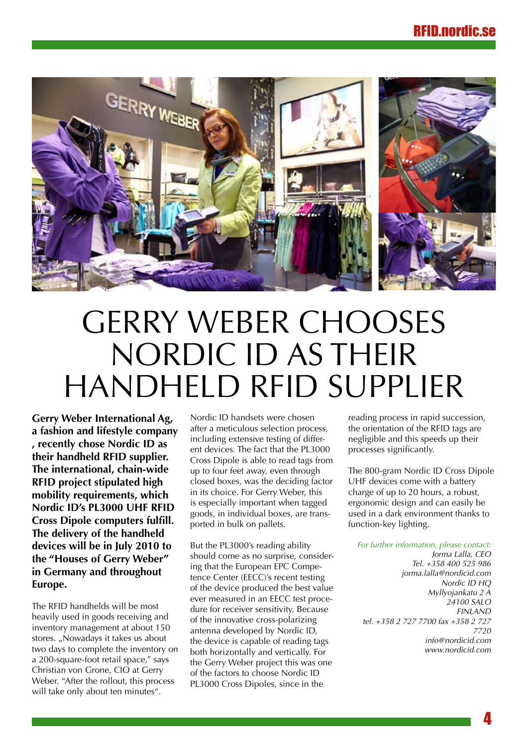

## Gerry Weber chooses Nordic ID as their handheld RFID supplier

**Gerry Weber International Ag, a fashion and lifestyle company , recently chose Nordic ID as their handheld RFID supplier. The international, chain-wide RFID project stipulated high mobility requirements, which Nordic ID's PL3000 UHF RFID Cross Dipole computers fulfill. The delivery of the handheld devices will be in July 2010 to the "Houses of Gerry Weber" in Germany and throughout Europe.** 

The RFID handhelds will be most heavily used in goods receiving and inventory management at about 150 stores. "Nowadays it takes us about two days to complete the inventory on a 200-square-foot retail space," says Christian von Grone, CIO at Gerry Weber. "After the rollout, this process will take only about ten minutes".

Nordic ID handsets were chosen after a meticulous selection process, including extensive testing of different devices. The fact that the PL3000 Cross Dipole is able to read tags from up to four feet away, even through closed boxes, was the deciding factor in its choice. For Gerry Weber, this is especially important when tagged goods, in individual boxes, are transported in bulk on pallets.

But the PL3000's reading ability should come as no surprise, considering that the European EPC Competence Center (EECC)'s recent testing of the device produced the best value ever measured in an EECC test procedure for receiver sensitivity. Because of the innovative cross-polarizing antenna developed by Nordic ID, the device is capable of reading tags both horizontally and vertically. For the Gerry Weber project this was one of the factors to choose Nordic ID PL3000 Cross Dipoles, since in the

reading process in rapid succession, the orientation of the RFID tags are negligible and this speeds up their processes significantly.

The 800-gram Nordic ID Cross Dipole UHF devices come with a battery charge of up to 20 hours, a robust, ergonomic design and can easily be used in a dark environment thanks to function-key lighting.

*For further information, please contact: Jorma Lalla, CEO Tel. +358 400 525 986 jorma.lalla@nordicid.com Nordic ID HQ Myllyojankatu 2 A 24100 SALO FINLAND tel. +358 2 727 7700 fax +358 2 727 7720 info@nordicid.com www.nordicid.com*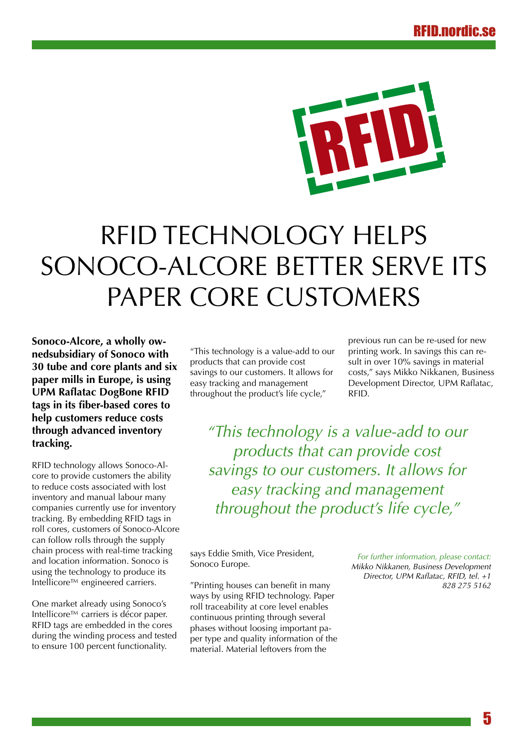

## RFID technology helps Sonoco-Alcore better serve its paper core customers

**Sonoco-Alcore, a wholly ownedsubsidiary of Sonoco with 30 tube and core plants and six paper mills in Europe, is using UPM Raflatac DogBone RFID tags in its fiber-based cores to help customers reduce costs through advanced inventory tracking.**

RFID technology allows Sonoco-Alcore to provide customers the ability to reduce costs associated with lost inventory and manual labour many companies currently use for inventory tracking. By embedding RFID tags in roll cores, customers of Sonoco-Alcore can follow rolls through the supply chain process with real-time tracking and location information. Sonoco is using the technology to produce its Intellicore™ engineered carriers.

One market already using Sonoco's Intellicore™ carriers is décor paper. RFID tags are embedded in the cores during the winding process and tested to ensure 100 percent functionality.

"This technology is a value-add to our products that can provide cost savings to our customers. It allows for easy tracking and management throughout the product's life cycle,"

previous run can be re-used for new printing work. In savings this can result in over 10% savings in material costs," says Mikko Nikkanen, Business Development Director, UPM Raflatac, RFID.

*"This technology is a value-add to our products that can provide cost savings to our customers. It allows for easy tracking and management throughout the product's life cycle,"*

says Eddie Smith, Vice President, Sonoco Europe.

"Printing houses can benefit in many ways by using RFID technology. Paper roll traceability at core level enables continuous printing through several phases without loosing important paper type and quality information of the material. Material leftovers from the

*For further information, please contact: Mikko Nikkanen, Business Development Director, UPM Raflatac, RFID, tel. +1 828 275 5162*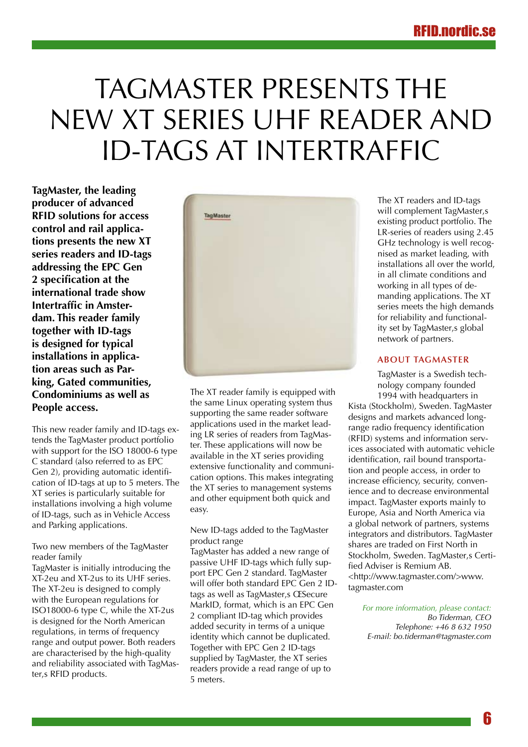## TAGMASTER PRESENTS THE new XT series UHF reader and ID-tags at Intertraffic

**TagMaster, the leading producer of advanced RFID solutions for access control and rail applications presents the new XT series readers and ID-tags addressing the EPC Gen 2 specification at the international trade show Intertraffic in Amsterdam. This reader family together with ID-tags is designed for typical installations in application areas such as Parking, Gated communities, Condominiums as well as People access.**

This new reader family and ID-tags extends the TagMaster product portfolio with support for the ISO 18000-6 type C standard (also referred to as EPC Gen 2), providing automatic identification of ID-tags at up to 5 meters. The XT series is particularly suitable for installations involving a high volume of ID-tags, such as in Vehicle Access and Parking applications.

Two new members of the TagMaster reader family

TagMaster is initially introducing the XT-2eu and XT-2us to its UHF series. The XT-2eu is designed to comply with the European regulations for ISO18000-6 type C, while the XT-2us is designed for the North American regulations, in terms of frequency range and output power. Both readers are characterised by the high-quality and reliability associated with TagMaster,s RFID products.



The XT reader family is equipped with the same Linux operating system thus supporting the same reader software applications used in the market leading LR series of readers from TagMaster. These applications will now be available in the XT series providing extensive functionality and communication options. This makes integrating the XT series to management systems and other equipment both quick and easy.

New ID-tags added to the TagMaster product range

TagMaster has added a new range of passive UHF ID-tags which fully support EPC Gen 2 standard. TagMaster will offer both standard EPC Gen 2 IDtags as well as TagMaster, s ŒSecure MarkID, format, which is an EPC Gen 2 compliant ID-tag which provides added security in terms of a unique identity which cannot be duplicated. Together with EPC Gen 2 ID-tags supplied by TagMaster, the XT series readers provide a read range of up to 5 meters.

The XT readers and ID-tags will complement TagMaster, s existing product portfolio. The LR-series of readers using 2.45 GHz technology is well recognised as market leading, with installations all over the world, in all climate conditions and working in all types of demanding applications. The XT series meets the high demands for reliability and functionality set by TagMaster, s global network of partners.

#### **About TagMaster**

TagMaster is a Swedish technology company founded 1994 with headquarters in

Kista (Stockholm), Sweden. TagMaster designs and markets advanced longrange radio frequency identification (RFID) systems and information services associated with automatic vehicle identification, rail bound transportation and people access, in order to increase efficiency, security, convenience and to decrease environmental impact. TagMaster exports mainly to Europe, Asia and North America via a global network of partners, systems integrators and distributors. TagMaster shares are traded on First North in Stockholm, Sweden. TagMaster.s Certified Adviser is Remium AB. <http://www.tagmaster.com/>www. tagmaster.com

*For more information, please contact: Bo Tiderman, CEO Telephone: +46 8 632 1950 E-mail: bo.tiderman@tagmaster.com*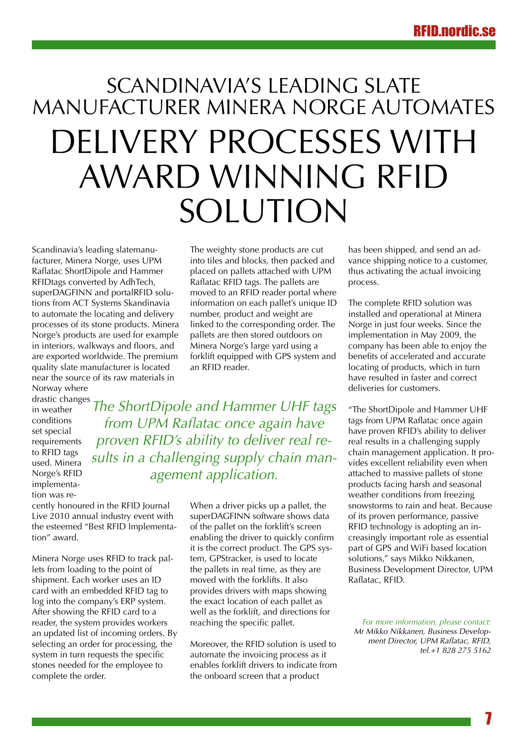## Scandinavia's leading slate manufacturer Minera Norge automates delivery processes with award winning RFID solution

Scandinavia's leading slatemanufacturer, Minera Norge, uses UPM Raflatac ShortDipole and Hammer RFIDtags converted by AdhTech, superDAGFINN and portalRFID solutions from ACT Systems Skandinavia to automate the locating and delivery processes of its stone products. Minera Norge's products are used for example in interiors, walkways and floors, and are exported worldwide. The premium quality slate manufacturer is located near the source of its raw materials in

Norway where drastic changes in weather conditions set special requirements to RFID tags used. Minera Norge's RFID implementation was reThe weighty stone products are cut into tiles and blocks, then packed and placed on pallets attached with UPM Raflatac RFID tags. The pallets are moved to an RFID reader portal where information on each pallet's unique ID number, product and weight are linked to the corresponding order. The pallets are then stored outdoors on Minera Norge's large yard using a forklift equipped with GPS system and an RFID reader.

*The ShortDipole and Hammer UHF tags from UPM Raflatac once again have proven RFID's ability to deliver real results in a challenging supply chain management application.* 

cently honoured in the RFID Journal Live 2010 annual industry event with the esteemed "Best RFID Implementation" award.

Minera Norge uses RFID to track pallets from loading to the point of shipment. Each worker uses an ID card with an embedded RFID tag to log into the company's ERP system. After showing the RFID card to a reader, the system provides workers an updated list of incoming orders. By selecting an order for processing, the system in turn requests the specific stones needed for the employee to complete the order.

When a driver picks up a pallet, the superDAGFINN software shows data of the pallet on the forklift's screen enabling the driver to quickly confirm it is the correct product. The GPS system, GPStracker, is used to locate the pallets in real time, as they are moved with the forklifts. It also provides drivers with maps showing the exact location of each pallet as well as the forklift, and directions for reaching the specific pallet.

Moreover, the RFID solution is used to automate the invoicing process as it enables forklift drivers to indicate from the onboard screen that a product

has been shipped, and send an advance shipping notice to a customer, thus activating the actual invoicing process.

The complete RFID solution was installed and operational at Minera Norge in just four weeks. Since the implementation in May 2009, the company has been able to enjoy the benefits of accelerated and accurate locating of products, which in turn have resulted in faster and correct deliveries for customers.

"The ShortDipole and Hammer UHF tags from UPM Raflatac once again have proven RFID's ability to deliver real results in a challenging supply chain management application. It provides excellent reliability even when attached to massive pallets of stone products facing harsh and seasonal weather conditions from freezing snowstorms to rain and heat. Because of its proven performance, passive RFID technology is adopting an increasingly important role as essential part of GPS and WiFi based location solutions," says Mikko Nikkanen, Business Development Director, UPM Raflatac, RFID.

*For more information, please contact: Mr Mikko Nikkanen, Business Development Director, UPM Raflatac, RFID, tel.+1 828 275 5162*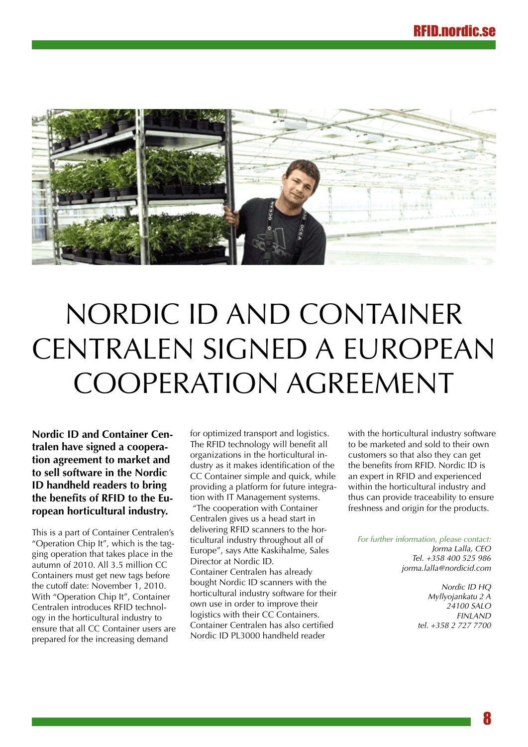

## Nordic ID and Container Centralen signed a European Cooperation Agreement

**Nordic ID and Container Centralen have signed a cooperation agreement to market and to sell software in the Nordic ID handheld readers to bring the benefits of RFID to the European horticultural industry.** 

This is a part of Container Centralen's "Operation Chip It", which is the tagging operation that takes place in the autumn of 2010. All 3.5 million CC Containers must get new tags before the cutoff date: November 1, 2010. With "Operation Chip It", Container Centralen introduces RFID technology in the horticultural industry to ensure that all CC Container users are prepared for the increasing demand

for optimized transport and logistics. The RFID technology will benefit all organizations in the horticultural industry as it makes identification of the CC Container simple and quick, while providing a platform for future integration with IT Management systems. "The cooperation with Container Centralen gives us a head start in delivering RFID scanners to the horticultural industry throughout all of Europe", says Atte Kaskihalme, Sales Director at Nordic ID. Container Centralen has already bought Nordic ID scanners with the horticultural industry software for their own use in order to improve their logistics with their CC Containers. Container Centralen has also certified Nordic ID PL3000 handheld reader

with the horticultural industry software to be marketed and sold to their own customers so that also they can get the benefits from RFID. Nordic ID is an expert in RFID and experienced within the horticultural industry and thus can provide traceability to ensure freshness and origin for the products.

*For further information, please contact: Jorma Lalla, CEO*

*Tel. +358 400 525 986 jorma.lalla@nordicid.com*

> *Nordic ID HQ Myllyojankatu 2 A 24100 SALO FINLAND tel. +358 2 727 7700*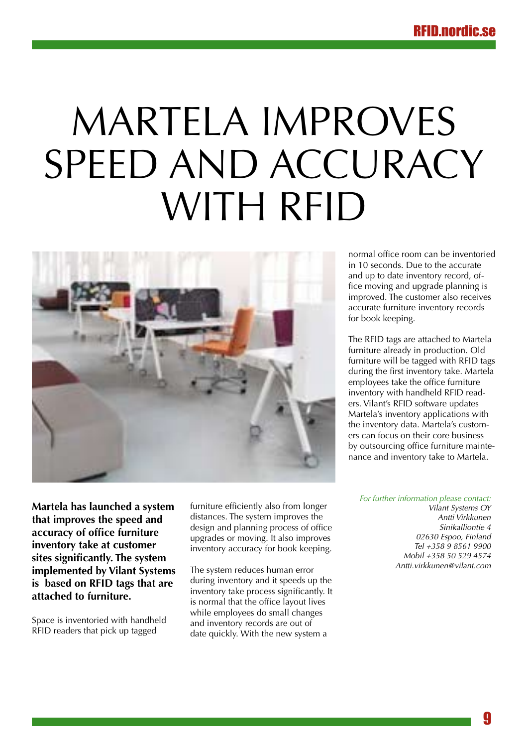# Martela improves SPEED AND ACCURACY with RFID



**Martela has launched a system that improves the speed and accuracy of office furniture inventory take at customer sites significantly. The system implemented by Vilant Systems is based on RFID tags that are attached to furniture.** 

Space is inventoried with handheld RFID readers that pick up tagged

furniture efficiently also from longer distances. The system improves the design and planning process of office upgrades or moving. It also improves inventory accuracy for book keeping.

The system reduces human error during inventory and it speeds up the inventory take process significantly. It is normal that the office layout lives while employees do small changes and inventory records are out of date quickly. With the new system a

normal office room can be inventoried in 10 seconds. Due to the accurate and up to date inventory record, office moving and upgrade planning is improved. The customer also receives accurate furniture inventory records for book keeping.

The RFID tags are attached to Martela furniture already in production. Old furniture will be tagged with RFID tags during the first inventory take. Martela employees take the office furniture inventory with handheld RFID readers. Vilant's RFID software updates Martela's inventory applications with the inventory data. Martela's customers can focus on their core business by outsourcing office furniture maintenance and inventory take to Martela.

*For further information please contact:*

*Vilant Systems OY Antti Virkkunen Sinikalliontie 4 02630 Espoo, Finland Tel +358 9 8561 9900 Mobil +358 50 529 4574 Antti.virkkunen@vilant.com*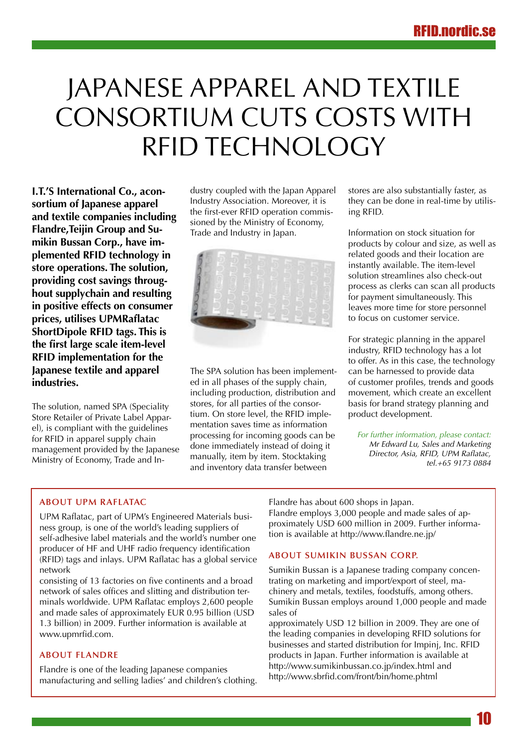## Japanese apparel and textile consortium cuts costs with RFID technology

**I.T.'S International Co., aconsortium of Japanese apparel and textile companies including Flandre,Teijin Group and Sumikin Bussan Corp., have implemented RFID technology in store operations. The solution, providing cost savings throughout supplychain and resulting in positive effects on consumer prices, utilises UPMRaflatac ShortDipole RFID tags. This is the first large scale item-level RFID implementation for the Japanese textile and apparel industries.**

The solution, named SPA (Speciality Store Retailer of Private Label Apparel), is compliant with the guidelines for RFID in apparel supply chain management provided by the Japanese Ministry of Economy, Trade and Industry coupled with the Japan Apparel Industry Association. Moreover, it is the first-ever RFID operation commissioned by the Ministry of Economy, Trade and Industry in Japan.



The SPA solution has been implemented in all phases of the supply chain, including production, distribution and stores, for all parties of the consortium. On store level, the RFID implementation saves time as information processing for incoming goods can be done immediately instead of doing it manually, item by item. Stocktaking and inventory data transfer between

stores are also substantially faster, as they can be done in real-time by utilising RFID.

Information on stock situation for products by colour and size, as well as related goods and their location are instantly available. The item-level solution streamlines also check-out process as clerks can scan all products for payment simultaneously. This leaves more time for store personnel to focus on customer service.

For strategic planning in the apparel industry, RFID technology has a lot to offer. As in this case, the technology can be harnessed to provide data of customer profiles, trends and goods movement, which create an excellent basis for brand strategy planning and product development.

*For further information, please contact: Mr Edward Lu, Sales and Marketing Director, Asia, RFID, UPM Raflatac, tel.+65 9173 0884*

### **About UPM Raflatac**

UPM Raflatac, part of UPM's Engineered Materials business group, is one of the world's leading suppliers of self-adhesive label materials and the world's number one producer of HF and UHF radio frequency identification (RFID) tags and inlays. UPM Raflatac has a global service network

consisting of 13 factories on five continents and a broad network of sales offices and slitting and distribution terminals worldwide. UPM Raflatac employs 2,600 people and made sales of approximately EUR 0.95 billion (USD 1.3 billion) in 2009. Further information is available at www.upmrfid.com.

### **About Flandre**

Flandre is one of the leading Japanese companies manufacturing and selling ladies' and children's clothing. Flandre has about 600 shops in Japan. Flandre employs 3,000 people and made sales of approximately USD 600 million in 2009. Further information is available at http://www.flandre.ne.jp/

#### **About Sumikin Bussan Corp.**

Sumikin Bussan is a Japanese trading company concentrating on marketing and import/export of steel, machinery and metals, textiles, foodstuffs, among others. Sumikin Bussan employs around 1,000 people and made sales of

approximately USD 12 billion in 2009. They are one of the leading companies in developing RFID solutions for businesses and started distribution for Impinj, Inc. RFID products in Japan. Further information is available at http://www.sumikinbussan.co.jp/index.html and http://www.sbrfid.com/front/bin/home.phtml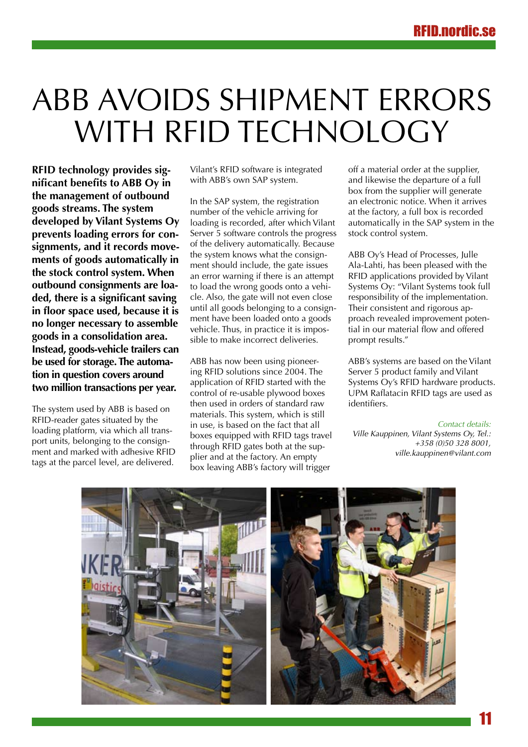## ABB avoids shipment errors WITH RFID TECHNOLOGY

**RFID technology provides significant benefits to ABB Oy in the management of outbound goods streams. The system developed by Vilant Systems Oy prevents loading errors for consignments, and it records movements of goods automatically in the stock control system. When outbound consignments are loaded, there is a significant saving in floor space used, because it is no longer necessary to assemble goods in a consolidation area. Instead, goods-vehicle trailers can be used for storage. The automation in question covers around two million transactions per year.** 

The system used by ABB is based on RFID-reader gates situated by the loading platform, via which all transport units, belonging to the consignment and marked with adhesive RFID tags at the parcel level, are delivered. Vilant's RFID software is integrated with ABB's own SAP system.

In the SAP system, the registration number of the vehicle arriving for loading is recorded, after which Vilant Server 5 software controls the progress of the delivery automatically. Because the system knows what the consignment should include, the gate issues an error warning if there is an attempt to load the wrong goods onto a vehicle. Also, the gate will not even close until all goods belonging to a consignment have been loaded onto a goods vehicle. Thus, in practice it is impossible to make incorrect deliveries.

ABB has now been using pioneering RFID solutions since 2004. The application of RFID started with the control of re-usable plywood boxes then used in orders of standard raw materials. This system, which is still in use, is based on the fact that all boxes equipped with RFID tags travel through RFID gates both at the supplier and at the factory. An empty box leaving ABB's factory will trigger

off a material order at the supplier, and likewise the departure of a full box from the supplier will generate an electronic notice. When it arrives at the factory, a full box is recorded automatically in the SAP system in the stock control system.

ABB Oy's Head of Processes, Julle Ala-Lahti, has been pleased with the RFID applications provided by Vilant Systems Oy: "Vilant Systems took full responsibility of the implementation. Their consistent and rigorous approach revealed improvement potential in our material flow and offered prompt results."

ABB's systems are based on the Vilant Server 5 product family and Vilant Systems Oy's RFID hardware products. UPM Raflatacin RFID tags are used as identifiers.

*Contact details:* 

*Ville Kauppinen, Vilant Systems Oy, Tel.: +358 (0)50 328 8001, ville.kauppinen@vilant.com*

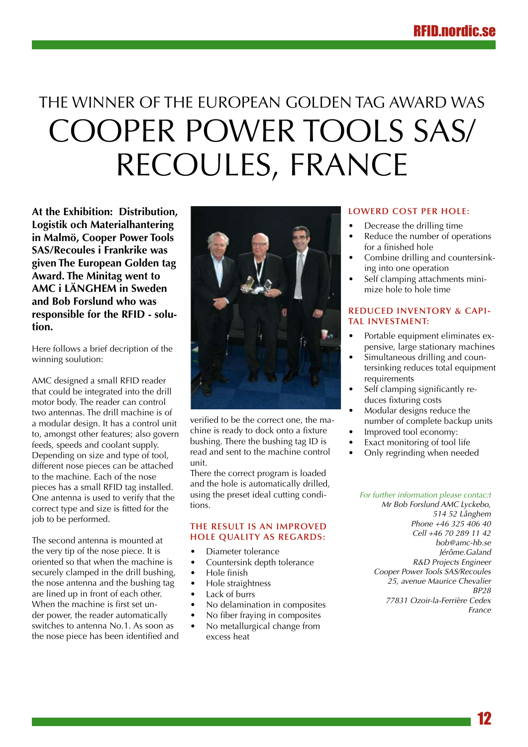## The winner of the European Golden Tag Award was Cooper Power Tools SAS/ Recoules, France

**At the Exhibition: Distribution, Logistik och Materialhantering in Malmö, Cooper Power Tools SAS/Recoules i Frankrike was given The European Golden tag Award. The Minitag went to AMC i LÄNGHEM in Sweden and Bob Forslund who was responsible for the RFID - solution.**

Here follows a brief decription of the winning soulution:

AMC designed a small RFID reader that could be integrated into the drill motor body. The reader can control two antennas. The drill machine is of a modular design. It has a control unit to, amongst other features; also govern feeds, speeds and coolant supply. Depending on size and type of tool, different nose pieces can be attached to the machine. Each of the nose pieces has a small RFID tag installed. One antenna is used to verify that the correct type and size is fitted for the job to be performed.

The second antenna is mounted at the very tip of the nose piece. It is oriented so that when the machine is securely clamped in the drill bushing, the nose antenna and the bushing tag are lined up in front of each other. When the machine is first set under power, the reader automatically switches to antenna No.1. As soon as the nose piece has been identified and



verified to be the correct one, the machine is ready to dock onto a fixture bushing. There the bushing tag ID is read and sent to the machine control unit.

There the correct program is loaded and the hole is automatically drilled, using the preset ideal cutting conditions.

#### **The result is an improved hole quality as regards:**

- Diameter tolerance
- Countersink depth tolerance
- • Hole finish
- Hole straightness
- Lack of burrs
- No delamination in composites
- No fiber fraying in composites
- No metallurgical change from excess heat

#### **Lowerd cost per hole:**

- Decrease the drilling time
- Reduce the number of operations for a finished hole
- Combine drilling and countersinking into one operation
- Self clamping attachments minimize hole to hole time

#### **Reduced inventory & capital investment:**

- Portable equipment eliminates expensive, large stationary machines
- Simultaneous drilling and countersinking reduces total equipment requirements
- Self clamping significantly reduces fixturing costs
- Modular designs reduce the number of complete backup units
- Improved tool economy:
- Exact monitoring of tool life
- Only regrinding when needed

#### *For further information please contac:t*

*Mr Bob Forslund AMC Lyckebo, 514 52 Långhem Phone +46 325 406 40 Cell +46 70 289 11 42 bob@amc-hb.se Jérôme.Galand R&D Projects Engineer Cooper Power Tools SAS/Recoules 25, avenue Maurice Chevalier BP28 77831 Ozoir-la-Ferrière Cedex France*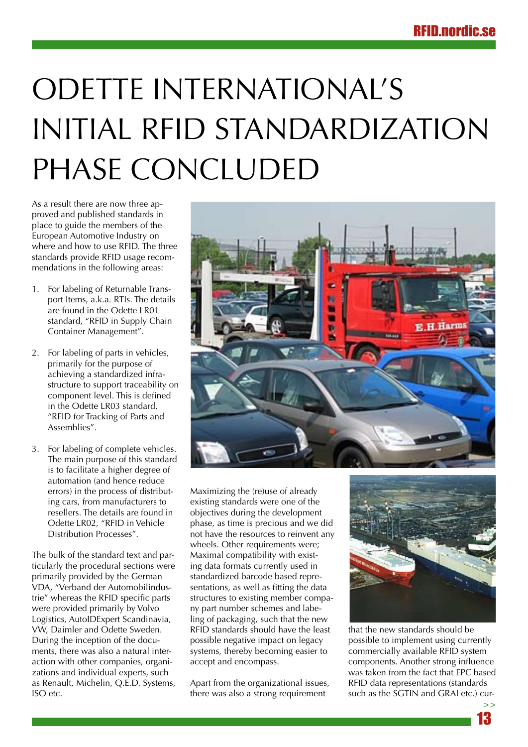## Odette International's initial RFID standardization phase concluded

As a result there are now three approved and published standards in place to guide the members of the European Automotive Industry on where and how to use RFID. The three standards provide RFID usage recommendations in the following areas:

- 1. For labeling of Returnable Transport Items, a.k.a. RTIs. The details are found in the Odette LR01 standard, "RFID in Supply Chain Container Management".
- 2. For labeling of parts in vehicles, primarily for the purpose of achieving a standardized infrastructure to support traceability on component level. This is defined in the Odette LR03 standard, "RFID for Tracking of Parts and Assemblies".
- 3. For labeling of complete vehicles. The main purpose of this standard is to facilitate a higher degree of automation (and hence reduce errors) in the process of distributing cars, from manufacturers to resellers. The details are found in Odette LR02, "RFID in Vehicle Distribution Processes".

The bulk of the standard text and particularly the procedural sections were primarily provided by the German VDA, "Verband der Automobilindustrie" whereas the RFID specific parts were provided primarily by Volvo Logistics, AutoIDExpert Scandinavia, VW, Daimler and Odette Sweden. During the inception of the documents, there was also a natural interaction with other companies, organizations and individual experts, such as Renault, Michelin, Q.E.D. Systems, ISO etc.



Maximizing the (re)use of already existing standards were one of the objectives during the development phase, as time is precious and we did not have the resources to reinvent any wheels. Other requirements were; Maximal compatibility with existing data formats currently used in standardized barcode based representations, as well as fitting the data structures to existing member company part number schemes and labeling of packaging, such that the new RFID standards should have the least possible negative impact on legacy systems, thereby becoming easier to accept and encompass.

Apart from the organizational issues, there was also a strong requirement



that the new standards should be possible to implement using currently commercially available RFID system components. Another strong influence was taken from the fact that EPC based RFID data representations (standards such as the SGTIN and GRAI etc.) cur-

13

**>>**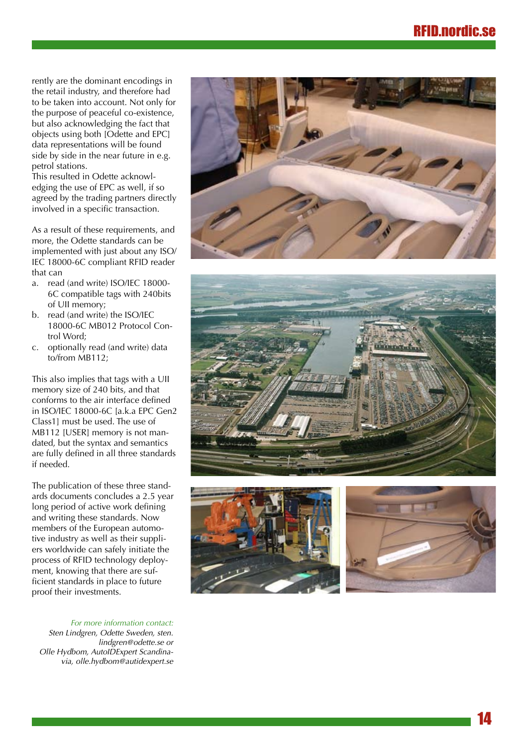rently are the dominant encodings in the retail industry, and therefore had to be taken into account. Not only for the purpose of peaceful co-existence, but also acknowledging the fact that objects using both [Odette and EPC] data representations will be found side by side in the near future in e.g. petrol stations.

This resulted in Odette acknowl edging the use of EPC as well, if so agreed by the trading partners directly involved in a specific transaction.

As a result of these requirements, and more, the Odette standards can be implemented with just about any ISO/ IEC 18000-6C compliant RFID reader that can

- a. read (and write) ISO/IEC 18000- 6C compatible tags with 240bits of UII memory;
- b. read (and write) the ISO/IEC 18000-6C MB012 Protocol Con trol Word;
- c. optionally read (and write) data to/from MB112;

This also implies that tags with a UII memory size of 240 bits, and that conforms to the air interface defined in ISO/IEC 18000-6C [a.k.a EPC Gen2 Class1] must be used. The use of MB112 [USER] memory is not man dated, but the syntax and semantics are fully defined in all three standards if needed.

The publication of these three stand ards documents concludes a 2.5 year long period of active work defining and writing these standards. Now members of the European automo tive industry as well as their suppli ers worldwide can safely initiate the process of RFID technology deploy ment, knowing that there are suf ficient standards in place to future proof their investments.

*For more information contact: Sten Lindgren, Odette Sweden, sten. lindgren@odette.se or Olle Hydbom, AutoIDExpert Scandina via, olle.hydbom@autidexpert.se*







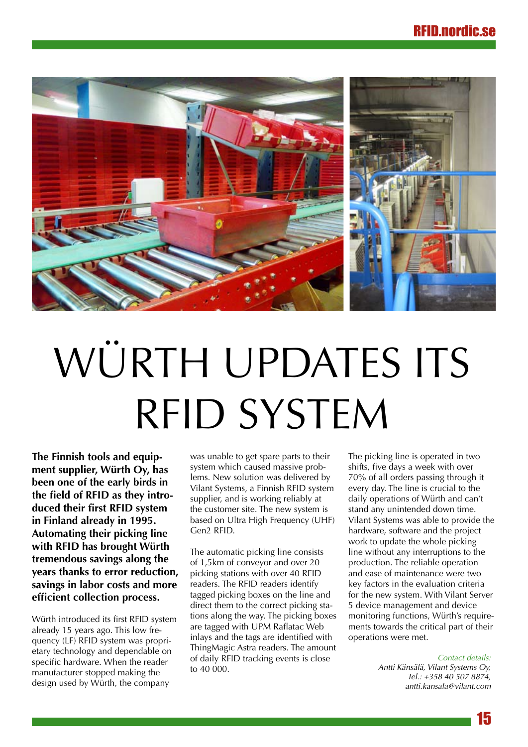

# WÜRTH UPDATES ITS RFID system

**The Finnish tools and equipment supplier, Würth Oy, has been one of the early birds in the field of RFID as they introduced their first RFID system in Finland already in 1995. Automating their picking line with RFID has brought Würth tremendous savings along the years thanks to error reduction, savings in labor costs and more efficient collection process.**

Würth introduced its first RFID system already 15 years ago. This low frequency (LF) RFID system was proprietary technology and dependable on specific hardware. When the reader manufacturer stopped making the design used by Würth, the company

was unable to get spare parts to their system which caused massive problems. New solution was delivered by Vilant Systems, a Finnish RFID system supplier, and is working reliably at the customer site. The new system is based on Ultra High Frequency (UHF) Gen2 RFID.

The automatic picking line consists of 1,5km of conveyor and over 20 picking stations with over 40 RFID readers. The RFID readers identify tagged picking boxes on the line and direct them to the correct picking stations along the way. The picking boxes are tagged with UPM Raflatac Web inlays and the tags are identified with ThingMagic Astra readers. The amount of daily RFID tracking events is close to 40 000.

The picking line is operated in two shifts, five days a week with over 70% of all orders passing through it every day. The line is crucial to the daily operations of Würth and can't stand any unintended down time. Vilant Systems was able to provide the hardware, software and the project work to update the whole picking line without any interruptions to the production. The reliable operation and ease of maintenance were two key factors in the evaluation criteria for the new system. With Vilant Server 5 device management and device monitoring functions, Würth's requirements towards the critical part of their operations were met.

> *Contact details: Antti Känsälä, Vilant Systems Oy, Tel.: +358 40 507 8874, antti.kansala@vilant.com*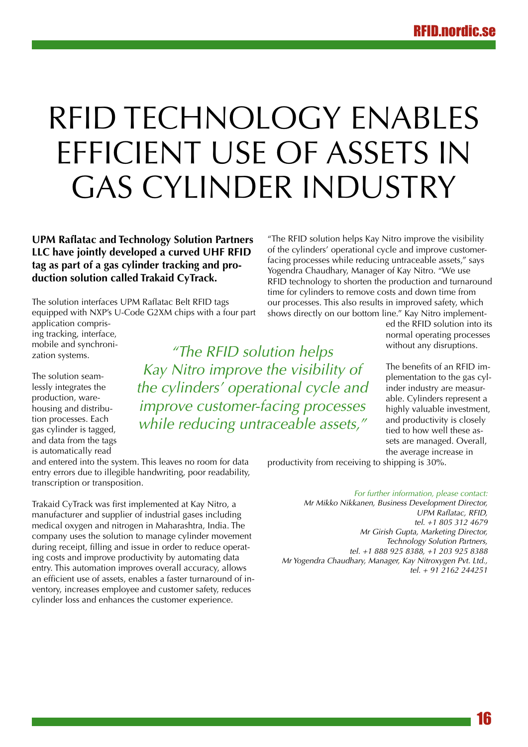## RFID technology enables efficient use of assets in gas cylinder industry

**UPM Raflatac and Technology Solution Partners LLC have jointly developed a curved UHF RFID tag as part of a gas cylinder tracking and production solution called Trakaid CyTrack.**

The solution interfaces UPM Raflatac Belt RFID tags equipped with NXP's U-Code G2XM chips with a four part

application comprising tracking, interface, mobile and synchronization systems.

The solution seamlessly integrates the production, warehousing and distribution processes. Each gas cylinder is tagged, and data from the tags is automatically read

*"The RFID solution helps Kay Nitro improve the visibility of the cylinders' operational cycle and improve customer-facing processes while reducing untraceable assets,"*

and entered into the system. This leaves no room for data entry errors due to illegible handwriting, poor readability, transcription or transposition.

Trakaid CyTrack was first implemented at Kay Nitro, a manufacturer and supplier of industrial gases including medical oxygen and nitrogen in Maharashtra, India. The company uses the solution to manage cylinder movement during receipt, filling and issue in order to reduce operating costs and improve productivity by automating data entry. This automation improves overall accuracy, allows an efficient use of assets, enables a faster turnaround of inventory, increases employee and customer safety, reduces cylinder loss and enhances the customer experience.

"The RFID solution helps Kay Nitro improve the visibility of the cylinders' operational cycle and improve customerfacing processes while reducing untraceable assets," says Yogendra Chaudhary, Manager of Kay Nitro. "We use RFID technology to shorten the production and turnaround time for cylinders to remove costs and down time from our processes. This also results in improved safety, which shows directly on our bottom line." Kay Nitro implement-

ed the RFID solution into its normal operating processes without any disruptions.

The benefits of an RFID implementation to the gas cylinder industry are measurable. Cylinders represent a highly valuable investment, and productivity is closely tied to how well these assets are managed. Overall, the average increase in

productivity from receiving to shipping is 30%.

*For further information, please contact:*

*Mr Mikko Nikkanen, Business Development Director, UPM Raflatac, RFID, tel. +1 805 312 4679 Mr Girish Gupta, Marketing Director, Technology Solution Partners, tel. +1 888 925 8388, +1 203 925 8388 Mr Yogendra Chaudhary, Manager, Kay Nitroxygen Pvt. Ltd., tel. + 91 2162 244251*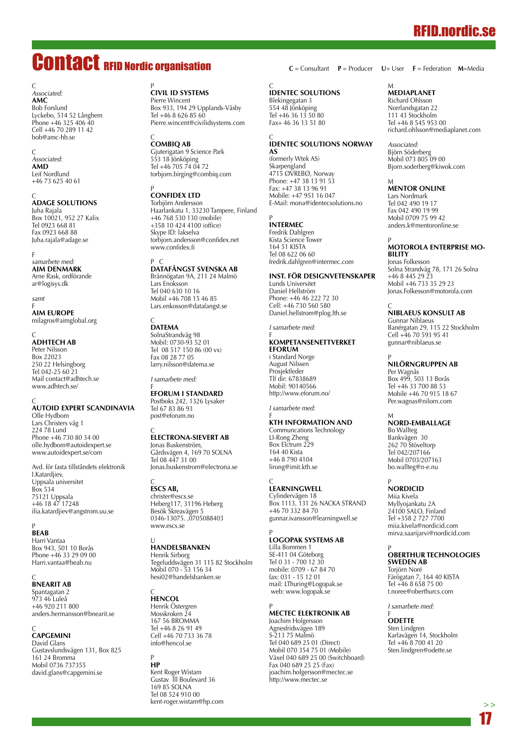## RFID.nordic.se

## Contact RFID Nordic organisation

C *Associated:* **AMC** Bob Forslund Lyckebo, 514 52 Långhem Phone +46 325 406 40 Cell +46 70 289 11 42 bob@amc-hb.se

C *Associated:* **AMD** Leif Nordlund +46 73 625 40 61

C<br>**ADAGE SC** Juha Rajala Box 10021, 952 27 Kalix Tel 0923 668 81 Fax 0923 668 88 Juha.rajala@adage.se

F *samarbete med:* **AIM Denmark** Arne Rask, ordförande ar@logisys.dk

*samt*

F<br>**AIM EU** milagros@aimglobal.org

## C **AdhTech AB**

Peter Nilsson **Box 22023** 250 22 Helsingborg Tel 042-25 60 21 Mail contact@adhtech.se www.adhtech.se/

C<br>**AUTOID EXPERT SC** Olle Hydbom Lars Christers väg 1

224 78 Lund Phone +46 730 80 34 00 olle.hydbom@autoidexpert.se www.autoidexpert.se/com

Avd. för fasta tillståndets elektronik I.Katardjiev, Uppsala universitet Box 534 75121 Uppsala +46 18 47 17248 ilia.katardjiev@angstrom.uu.se

P **BEAB** Harri Vantaa Box 943, 501 10 Borås Phone +46 33 29 09 00 Harri.vantaa@beab.nu

C **BnearIT AB** Spantagatan 2 973 46 Luleå  $+4690211800$ anders.hermansson@bnearit.se

## C **CAPGEMINI**

David Glans Gustavslundsvägen 131, Box 825 161 24 Bromma Mobil 0736 737355 david.glans@capgemini.se

## <sup>P</sup><br>CIVIL ID SYST

Pierre Wincent Box 933, 194 29 Upplands-Väsby Tel +46 8 626 85 60 Pierre.wincent@civilidsystems.com

## C **CombiQ AB**

Gjuterigatan 9 Science Park 553 18 Jönköping Tel +46 705 74 04 72 torbjorn.birging@combiq.com

## <sup>P</sup><br>**CONFIDEX LT**

Torbjörn Andersson Haarlankatu 1, 33230 Tampere, Finland +46 768 530 130 (mobile) +358 10 424 4100 (office) Skype ID: lakselva torbjorn.andersson@confidex.net www.confidex.fi

## P C **DataFångst Svenska AB**

Brännögatan 9A, 211 24 Malmö Lars Enoksson Tel 040 630 10 16 Mobil +46 708 15 46 85 Lars.enkosson@datafangst.se

## C **DATEMA**

SolnaStrandväg 98 Mobil: 0730-93 52 01 Tel 08 517 150 86 (00 vx) Fax 08 28 77 05 larry.nilsson@datema.se

*I samarbete med:*

#### f<br>**EFORUM I ST** Postboks 242, 1326 Lysaker Tel 67 83 86 93 post@eforum.no

## C **Electrona-Sievert AB**

Jonas Buskenström, Gårdsvägen 4, 169 70 SOLNA Tel 08 447 31 00 Jonas.buskenstrom@electrona.se

## C **ESCS AB,**

christer@escs.se Heberg117, 31196 Heberg Besök Skreavägen 5 0346-13075. ,0705088403 www.escs.se

#### U<br>**Handelsbanke** Henrik Sirborg Tegeluddsvägen 31 115 82 Stockholm Mobil 070 - 53 156 34 hesi02@handelsbanken.se

C **HENCOL** Henrik Östergren Mosskroken 24 167 56 BROMMA Tel +46 8 26 91 49 Cell +46 70 733 36 78 info@hencol.se

## P **HP**

Kent Roger Wistam Gustav lll Boulevard 36 169 85 SOLNA Tel 08 524 910 00 kent-roger.wistam@hp.com **C** = Consultant **P** = Producer **U**= User **F** = Federation **M**=Media

#### $\epsilon$ **IDENTEC SOLUTIONS**

Blekingegatan 3 554 48 Jönköping Tel +46 36 13 50 80 Fax+ 46 36 13 51 80

#### C **IDENTEC SOLUTIONS Norway AS**

(formerly Wtek AS) Skarpengland 4715 ØVREBØ, Norway Phone: +47 38 13 91 53 Fax: +47 38 13 96 91 Mobile: +47 951 16 047 E-Mail: mona@identecsolutions.no

## P **INTERMEC**

Fredrik Dahlgren Kista Science Tower 164 51 KISTA Tel 08 622 06 60 fredrik.dahlgren@intermec.com

#### **Inst. för Designvetenskaper**

Lunds Universitet Daniel Hellström Phone: +46 46 222 72 30 Cell: +46 730 560 580 Daniel.hellstrom@plog.lth.se

*I samarbete med:*

#### f<br>**KOMPETANSENETTVERKE eforum**

i Standard Norge August Nilssen Prosjektleder Tlf dir: 67838689 Mobil: 90140566 http://www.eforum.no/

*I samarbete med:*

## F<br>**KTH INFORMATION A**

Communcations Technology LI-Rong Zheng Box Elctrum 229 164 40 Kista +46 8 790 4104 lirong@imit.kth.se

## C<br>**LEARNINGWE**

Cylindervägen 18 Box 1113, 131 26 NACKA STRAND +46 70 332 84 70 gunnar.ivansson@learningwell.se

## P **Logopak Systems AB**

Lilla Bommen 1 SE-411 04 Göteborg Tel 0 31 - 700 12 30 mobile: 0709 - 67 84 70 fax: 031 - 15 12 01 mail: LThuring@Logopak.se web: www.logopak.se

#### P **MECTEC Elektronik AB**

Joachim Holgersson Agnesfridsvägen 189 S-213 75 Malmö Tel 040 689 25 01 (Direct) Mobil 070 354 75 01 (Mobile) Växel 040 689 25 00 (Switchboard) Fax 040 689 25 25 (Fax) joachim.holgersson@mectec.se http://www.mectec.se

#### M **MEDIAPLANET**

Richard Ohlsson Norrlandsgatan 22 111 43 Stockholm Tel +46 8 545 953 00 richard.ohlsson@mediaplanet.com

*Associated:* Björn Söderberg Mobil 073 805 09 00 Bjorn.soderberg@kiwok.com

## M **MENTOR ONLINE**

Lars Nordmark Tel 042 490 19 17 Fax 042 490 19 99 Mobil 0709 75 99 42 anders.k@mentoronline.se

#### P **MOTOROLA Enterprise Mobility**

Jonas Folkesson Solna Strandväg 78, 171 26 Solna +46 8 445 29 23 Mobil +46 733 35 29 23 Jonas.Folkesson@motorola.com

## C **NIBLAEUS KONSULT AB**

Gunnar Niblaeus Banérgatan 29, 115 22 Stockholm Cell +46 70 593 95 41 gunnar@niblaeus.se

## P **NILÖRNGRUPPEN AB**

Per Wagnås Box 499, 503 13 Borås Tel +46 33 700 88 53 Mobile +46 70 915 18 67 Per.wagnas@nilorn.com

## m<br>**Nord-e**m

Bo Wallteg Bankvägen 30 262 70 Stöveltorp Tel 042/207166 Mobil 0703/207163 bo.wallteg@n-e.nu

## P **NORDICID**

Miia Kivela Myllyojankatu 2A 24100 SALO, Finland Tel +358 2 727 7700 miia.kivela@nordicid.com mirva.saarijarvi@nordicid.com

#### P **OBERTHUR TECHNOLOGIES Sweden AB**

Torjörn Noré Färögatan 7, 164 40 KISTA Tel +46 8 658 75 00 t.noree@oberthurcs.com

*I samarbete med:*

#### F **ODETTE** Sten Lindgren Karlavägen 14, Stockholm Tel +46 8 700 41 20 Sten.lindgren@odette.se

17  **>>**